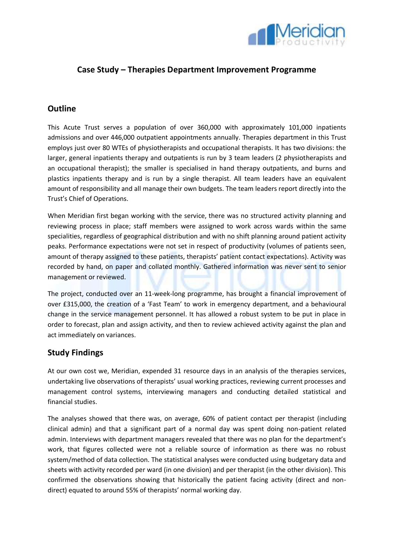

# **Case Study – Therapies Department Improvement Programme**

# **Outline**

This Acute Trust serves a population of over 360,000 with approximately 101,000 inpatients admissions and over 446,000 outpatient appointments annually. Therapies department in this Trust employs just over 80 WTEs of physiotherapists and occupational therapists. It has two divisions: the larger, general inpatients therapy and outpatients is run by 3 team leaders (2 physiotherapists and an occupational therapist); the smaller is specialised in hand therapy outpatients, and burns and plastics inpatients therapy and is run by a single therapist. All team leaders have an equivalent amount of responsibility and all manage their own budgets. The team leaders report directly into the Trust's Chief of Operations.

When Meridian first began working with the service, there was no structured activity planning and reviewing process in place; staff members were assigned to work across wards within the same specialities, regardless of geographical distribution and with no shift planning around patient activity peaks. Performance expectations were not set in respect of productivity (volumes of patients seen, amount of therapy assigned to these patients, therapists' patient contact expectations). Activity was recorded by hand, on paper and collated monthly. Gathered information was never sent to senior management or reviewed.

The project, conducted over an 11-week-long programme, has brought a financial improvement of over £315,000, the creation of a 'Fast Team' to work in emergency department, and a behavioural change in the service management personnel. It has allowed a robust system to be put in place in order to forecast, plan and assign activity, and then to review achieved activity against the plan and act immediately on variances.

### **Study Findings**

At our own cost we, Meridian, expended 31 resource days in an analysis of the therapies services, undertaking live observations of therapists' usual working practices, reviewing current processes and management control systems, interviewing managers and conducting detailed statistical and financial studies.

The analyses showed that there was, on average, 60% of patient contact per therapist (including clinical admin) and that a significant part of a normal day was spent doing non-patient related admin. Interviews with department managers revealed that there was no plan for the department's work, that figures collected were not a reliable source of information as there was no robust system/method of data collection. The statistical analyses were conducted using budgetary data and sheets with activity recorded per ward (in one division) and per therapist (in the other division). This confirmed the observations showing that historically the patient facing activity (direct and nondirect) equated to around 55% of therapists' normal working day.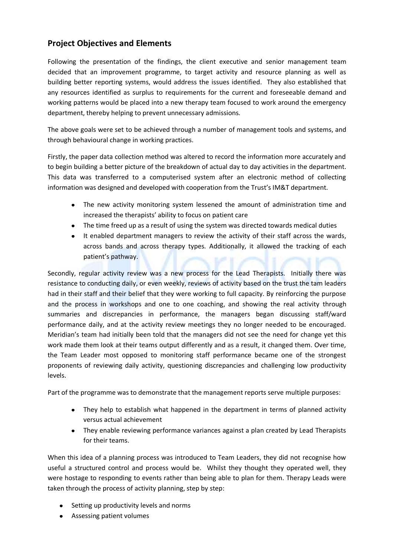# **Project Objectives and Elements**

Following the presentation of the findings, the client executive and senior management team decided that an improvement programme, to target activity and resource planning as well as building better reporting systems, would address the issues identified. They also established that any resources identified as surplus to requirements for the current and foreseeable demand and working patterns would be placed into a new therapy team focused to work around the emergency department, thereby helping to prevent unnecessary admissions.

The above goals were set to be achieved through a number of management tools and systems, and through behavioural change in working practices.

Firstly, the paper data collection method was altered to record the information more accurately and to begin building a better picture of the breakdown of actual day to day activities in the department. This data was transferred to a computerised system after an electronic method of collecting information was designed and developed with cooperation from the Trust's IM&T department.

- The new activity monitoring system lessened the amount of administration time and increased the therapists' ability to focus on patient care
- The time freed up as a result of using the system was directed towards medical duties
- It enabled department managers to review the activity of their staff across the wards,  $\bullet$ across bands and across therapy types. Additionally, it allowed the tracking of each patient's pathway.

Secondly, regular activity review was a new process for the Lead Therapists. Initially there was resistance to conducting daily, or even weekly, reviews of activity based on the trust the tam leaders had in their staff and their belief that they were working to full capacity. By reinforcing the purpose and the process in workshops and one to one coaching, and showing the real activity through summaries and discrepancies in performance, the managers began discussing staff/ward performance daily, and at the activity review meetings they no longer needed to be encouraged. Meridian's team had initially been told that the managers did not see the need for change yet this work made them look at their teams output differently and as a result, it changed them. Over time, the Team Leader most opposed to monitoring staff performance became one of the strongest proponents of reviewing daily activity, questioning discrepancies and challenging low productivity levels.

Part of the programme was to demonstrate that the management reports serve multiple purposes:

- They help to establish what happened in the department in terms of planned activity versus actual achievement
- They enable reviewing performance variances against a plan created by Lead Therapists for their teams.

When this idea of a planning process was introduced to Team Leaders, they did not recognise how useful a structured control and process would be. Whilst they thought they operated well, they were hostage to responding to events rather than being able to plan for them. Therapy Leads were taken through the process of activity planning, step by step:

- Setting up productivity levels and norms
- Assessing patient volumes